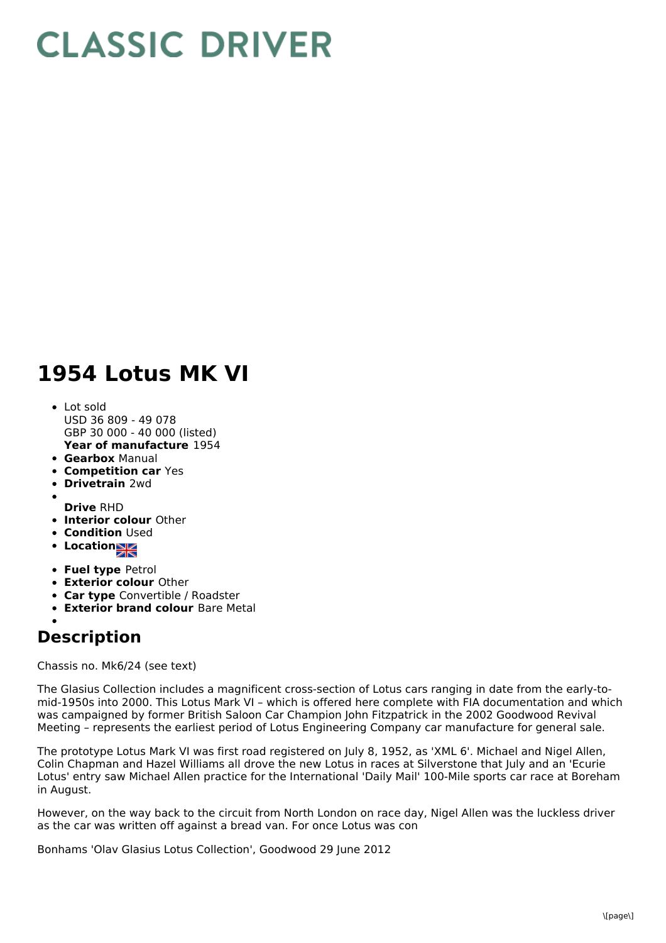## **CLASSIC DRIVER**

## **1954 Lotus MK VI**

- **Year of manufacture** 1954 Lot sold USD 36 809 - 49 078 GBP 30 000 - 40 000 (listed)
- **Gearbox** Manual
- **Competition car** Yes
- $\bullet$ **Drivetrain** 2wd
- **Drive** RHD
- **Interior colour** Other
- **Condition Used**
- Location<sub>a</sub>
- 
- **Fuel type** Petrol
- **Exterior colour** Other
- **Car type** Convertible / Roadster
- **Exterior brand colour** Bare Metal

## **Description**

Chassis no. Mk6/24 (see text)

The Glasius Collection includes a magnificent cross-section of Lotus cars ranging in date from the early-to mid-1950s into 2000. This Lotus Mark VI – which is offered here complete with FIA documentation and which was campaigned by former British Saloon Car Champion John Fitzpatrick in the 2002 Goodwood Revival Meeting – represents the earliest period of Lotus Engineering Company car manufacture for general sale.

The prototype Lotus Mark VI was first road registered on July 8, 1952, as 'XML 6'. Michael and Nigel Allen, Colin Chapman and Hazel Williams all drove the new Lotus in races at Silverstone that July and an 'Ecurie Lotus' entry saw Michael Allen practice for the International 'Daily Mail' 100-Mile sports car race at Boreham in August.

However, on the way back to the circuit from North London on race day, Nigel Allen was the luckless driver as the car was written off against a bread van. For once Lotus was con

Bonhams 'Olav Glasius Lotus Collection', Goodwood 29 June 2012